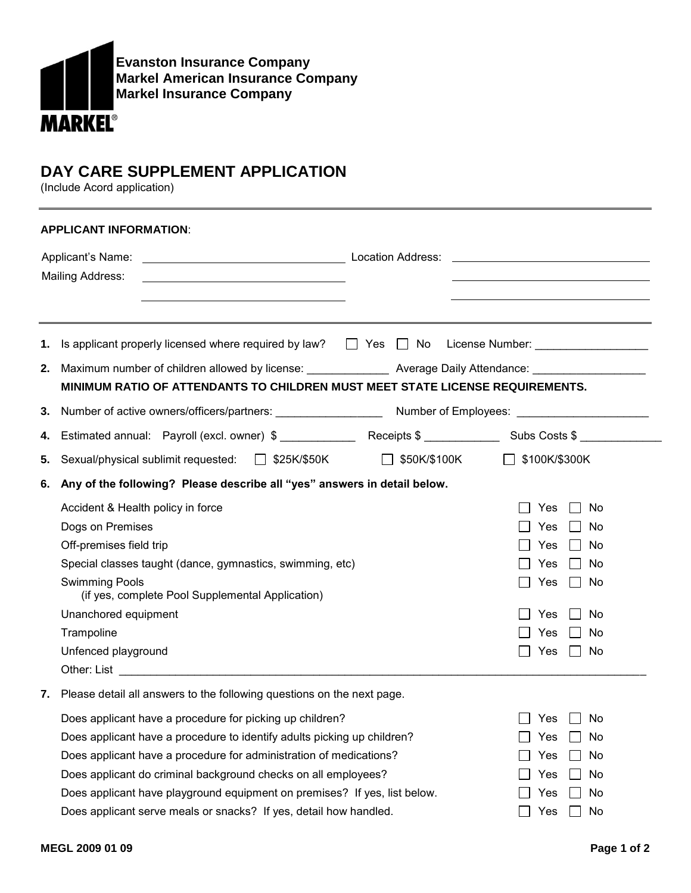

## **DAY CARE SUPPLEMENT APPLICATION**

(Include Acord application)

| <b>APPLICANT INFORMATION:</b> |                                                                                                                                                                                                                                                                                                                                                                                                                                                                                                                                                             |                                                                                            |  |  |  |  |  |  |
|-------------------------------|-------------------------------------------------------------------------------------------------------------------------------------------------------------------------------------------------------------------------------------------------------------------------------------------------------------------------------------------------------------------------------------------------------------------------------------------------------------------------------------------------------------------------------------------------------------|--------------------------------------------------------------------------------------------|--|--|--|--|--|--|
|                               | Mailing Address:                                                                                                                                                                                                                                                                                                                                                                                                                                                                                                                                            |                                                                                            |  |  |  |  |  |  |
| 1.<br>3.                      | Is applicant properly licensed where required by law? □ Yes □ No License Number: __________________<br>2. Maximum number of children allowed by license: ________________ Average Daily Attendance: ________________<br>MINIMUM RATIO OF ATTENDANTS TO CHILDREN MUST MEET STATE LICENSE REQUIREMENTS.                                                                                                                                                                                                                                                       |                                                                                            |  |  |  |  |  |  |
| 4.                            |                                                                                                                                                                                                                                                                                                                                                                                                                                                                                                                                                             |                                                                                            |  |  |  |  |  |  |
| 5.                            | Sexual/physical sublimit requested: □ \$25K/\$50K □ \$50K/\$100K<br>$\Box$ \$100K/\$300K                                                                                                                                                                                                                                                                                                                                                                                                                                                                    |                                                                                            |  |  |  |  |  |  |
| 6.                            | Any of the following? Please describe all "yes" answers in detail below.<br>Accident & Health policy in force<br>Yes<br>Dogs on Premises<br>Yes<br>Off-premises field trip<br><b>Yes</b><br>Special classes taught (dance, gymnastics, swimming, etc)<br><b>Yes</b><br><b>Swimming Pools</b><br>Yes<br>(if yes, complete Pool Supplemental Application)<br>Unanchored equipment<br>Yes<br>Trampoline<br>Yes<br>Unfenced playground<br>Yes                                                                                                                   | No<br>$\Box$ No<br>$\Box$ No<br>$\Box$ No<br>$\Box$ No<br>No<br>$\blacksquare$<br>No<br>No |  |  |  |  |  |  |
|                               | 7. Please detail all answers to the following questions on the next page.<br>Does applicant have a procedure for picking up children?<br><b>Yes</b><br>Does applicant have a procedure to identify adults picking up children?<br>Yes<br>Does applicant have a procedure for administration of medications?<br>Yes<br>Does applicant do criminal background checks on all employees?<br>Yes<br>Does applicant have playground equipment on premises? If yes, list below.<br>Yes<br>Does applicant serve meals or snacks? If yes, detail how handled.<br>Yes | No<br>No<br>No<br>No<br>No<br>No                                                           |  |  |  |  |  |  |